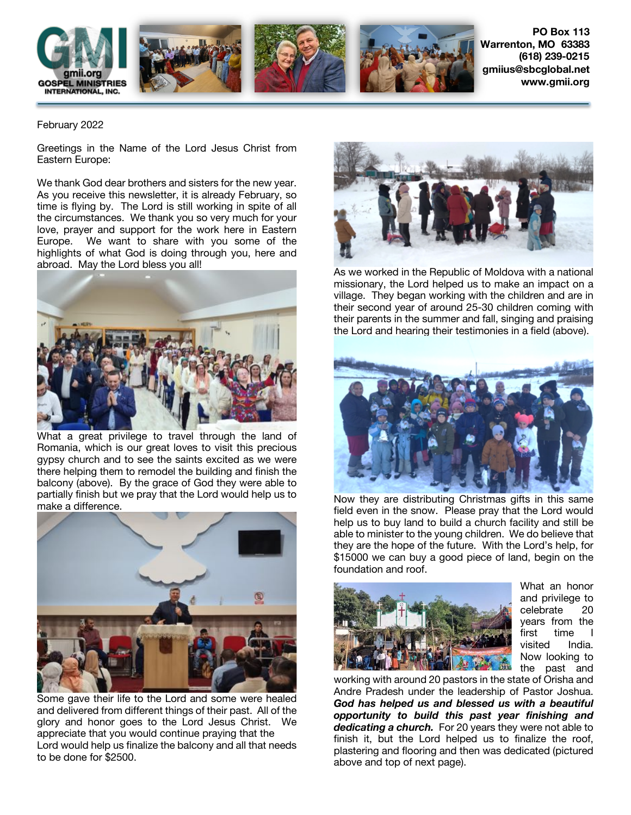

**PO Box 113 Warrenton, MO 63383 (618) 239-0215 gmiius@sbcglobal.net www.gmii.org**

## February 2022

Greetings in the Name of the Lord Jesus Christ from Eastern Europe:

We thank God dear brothers and sisters for the new year. As you receive this newsletter, it is already February, so time is flying by. The Lord is still working in spite of all the circumstances. We thank you so very much for your love, prayer and support for the work here in Eastern Europe. We want to share with you some of the highlights of what God is doing through you, here and abroad. May the Lord bless you all!



What a great privilege to travel through the land of Romania, which is our great loves to visit this precious gypsy church and to see the saints excited as we were there helping them to remodel the building and finish the balcony (above). By the grace of God they were able to partially finish but we pray that the Lord would help us to make a difference.



Some gave their life to the Lord and some were healed and delivered from different things of their past. All of the glory and honor goes to the Lord Jesus Christ. We appreciate that you would continue praying that the Lord would help us finalize the balcony and all that needs to be done for \$2500.



As we worked in the Republic of Moldova with a national missionary, the Lord helped us to make an impact on a village. They began working with the children and are in their second year of around 25-30 children coming with their parents in the summer and fall, singing and praising the Lord and hearing their testimonies in a field (above).



Now they are distributing Christmas gifts in this same field even in the snow. Please pray that the Lord would help us to buy land to build a church facility and still be able to minister to the young children. We do believe that they are the hope of the future. With the Lord's help, for \$15000 we can buy a good piece of land, begin on the foundation and roof.



What an honor and privilege to celebrate 20 years from the first time visited India. Now looking to the past and

working with around 20 pastors in the state of Orisha and Andre Pradesh under the leadership of Pastor Joshua. *God has helped us and blessed us with a beautiful opportunity to build this past year finishing and dedicating a church.* For 20 years they were not able to finish it, but the Lord helped us to finalize the roof, plastering and flooring and then was dedicated (pictured above and top of next page).